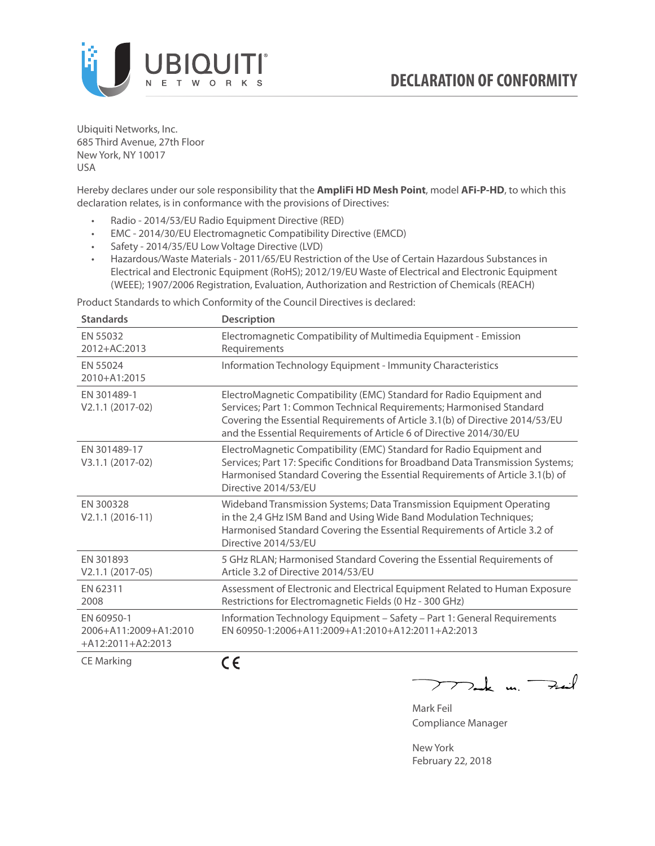

Ubiquiti Networks, Inc. 685 Third Avenue, 27th Floor New York, NY 10017 USA

Hereby declares under our sole responsibility that the **AmpliFi HD Mesh Point**, model **AFi-P-HD**, to which this declaration relates, is in conformance with the provisions of Directives:

- Radio 2014/53/EU Radio Equipment Directive (RED)
- EMC 2014/30/EU Electromagnetic Compatibility Directive (EMCD)
- Safety 2014/35/EU Low Voltage Directive (LVD)
- Hazardous/Waste Materials 2011/65/EU Restriction of the Use of Certain Hazardous Substances in Electrical and Electronic Equipment (RoHS); 2012/19/EU Waste of Electrical and Electronic Equipment (WEEE); 1907/2006 Registration, Evaluation, Authorization and Restriction of Chemicals (REACH)

Product Standards to which Conformity of the Council Directives is declared:

| <b>Standards</b>                                           | <b>Description</b>                                                                                                                                                                                                                                                                                   |
|------------------------------------------------------------|------------------------------------------------------------------------------------------------------------------------------------------------------------------------------------------------------------------------------------------------------------------------------------------------------|
| EN 55032<br>2012+AC:2013                                   | Electromagnetic Compatibility of Multimedia Equipment - Emission<br>Requirements                                                                                                                                                                                                                     |
| EN 55024<br>2010+A1:2015                                   | Information Technology Equipment - Immunity Characteristics                                                                                                                                                                                                                                          |
| EN 301489-1<br>V2.1.1 (2017-02)                            | ElectroMagnetic Compatibility (EMC) Standard for Radio Equipment and<br>Services; Part 1: Common Technical Requirements; Harmonised Standard<br>Covering the Essential Requirements of Article 3.1(b) of Directive 2014/53/EU<br>and the Essential Requirements of Article 6 of Directive 2014/30/EU |
| EN 301489-17<br>V3.1.1 (2017-02)                           | ElectroMagnetic Compatibility (EMC) Standard for Radio Equipment and<br>Services; Part 17: Specific Conditions for Broadband Data Transmission Systems;<br>Harmonised Standard Covering the Essential Requirements of Article 3.1(b) of<br>Directive 2014/53/EU                                      |
| EN 300328<br>$V2.1.1 (2016-11)$                            | Wideband Transmission Systems; Data Transmission Equipment Operating<br>in the 2,4 GHz ISM Band and Using Wide Band Modulation Techniques;<br>Harmonised Standard Covering the Essential Requirements of Article 3.2 of<br>Directive 2014/53/EU                                                      |
| EN 301893<br>$V2.1.1 (2017-05)$                            | 5 GHz RLAN; Harmonised Standard Covering the Essential Requirements of<br>Article 3.2 of Directive 2014/53/EU                                                                                                                                                                                        |
| EN 62311<br>2008                                           | Assessment of Electronic and Electrical Equipment Related to Human Exposure<br>Restrictions for Electromagnetic Fields (0 Hz - 300 GHz)                                                                                                                                                              |
| EN 60950-1<br>2006+A11:2009+A1:2010<br>$+A12:2011+A2:2013$ | Information Technology Equipment - Safety - Part 1: General Requirements<br>EN 60950-1:2006+A11:2009+A1:2010+A12:2011+A2:2013                                                                                                                                                                        |
| $\sim$ $\sim$ $\sim$ $\sim$ $\sim$                         | - -                                                                                                                                                                                                                                                                                                  |

CE Marking

CE

 $\nabla$ ak m.  $\rightarrow$  $\overline{\phantom{1}}$ 

Mark Feil Compliance Manager

New York February 22, 2018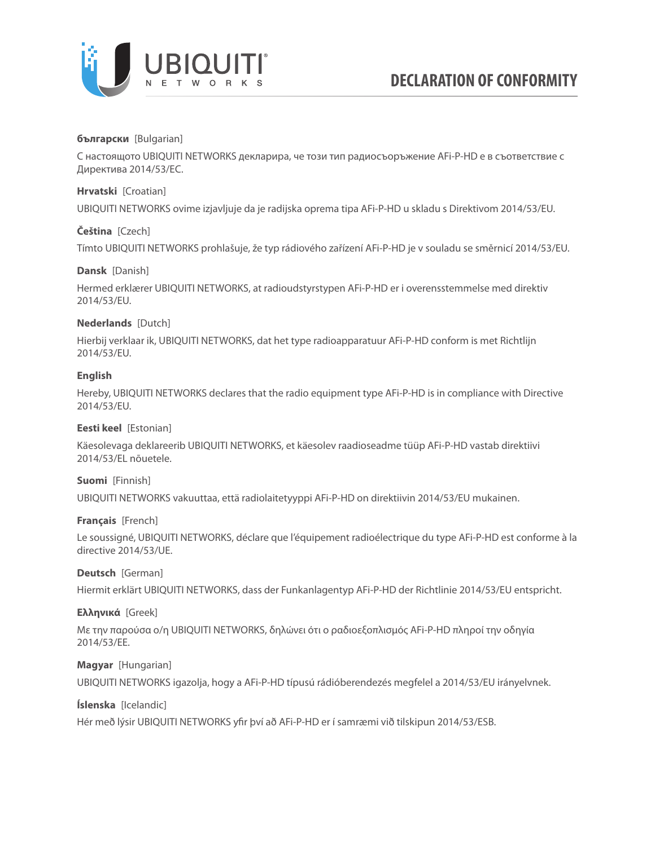

# **български** [Bulgarian]

С настоящото UBIQUITI NETWORKS декларира, че този тип радиосъоръжение AFi-P-HD е в съответствие с Директива 2014/53/ЕС.

# **Hrvatski** [Croatian]

UBIQUITI NETWORKS ovime izjavljuje da je radijska oprema tipa AFi-P-HD u skladu s Direktivom 2014/53/EU.

# **Čeština** [Czech]

Tímto UBIQUITI NETWORKS prohlašuje, že typ rádiového zařízení AFi-P-HD je v souladu se směrnicí 2014/53/EU.

# **Dansk** [Danish]

Hermed erklærer UBIQUITI NETWORKS, at radioudstyrstypen AFi-P-HD er i overensstemmelse med direktiv 2014/53/EU.

# **Nederlands** [Dutch]

Hierbij verklaar ik, UBIQUITI NETWORKS, dat het type radioapparatuur AFi-P-HD conform is met Richtlijn 2014/53/EU.

# **English**

Hereby, UBIQUITI NETWORKS declares that the radio equipment type AFi-P-HD is in compliance with Directive 2014/53/EU.

# **Eesti keel** [Estonian]

Käesolevaga deklareerib UBIQUITI NETWORKS, et käesolev raadioseadme tüüp AFi-P-HD vastab direktiivi 2014/53/EL nõuetele.

# **Suomi** [Finnish]

UBIQUITI NETWORKS vakuuttaa, että radiolaitetyyppi AFi-P-HD on direktiivin 2014/53/EU mukainen.

# **Français** [French]

Le soussigné, UBIQUITI NETWORKS, déclare que l'équipement radioélectrique du type AFi-P-HD est conforme à la directive 2014/53/UE.

# **Deutsch** [German]

Hiermit erklärt UBIQUITI NETWORKS, dass der Funkanlagentyp AFi-P-HD der Richtlinie 2014/53/EU entspricht.

# **Ελληνικά** [Greek]

Με την παρούσα ο/η UBIQUITI NETWORKS, δηλώνει ότι ο ραδιοεξοπλισμός AFi-P-HD πληροί την οδηγία 2014/53/ΕΕ.

# **Magyar** [Hungarian]

UBIQUITI NETWORKS igazolja, hogy a AFi-P-HD típusú rádióberendezés megfelel a 2014/53/EU irányelvnek.

# **Íslenska** [Icelandic]

Hér með lýsir UBIQUITI NETWORKS yfir því að AFi-P-HD er í samræmi við tilskipun 2014/53/ESB.